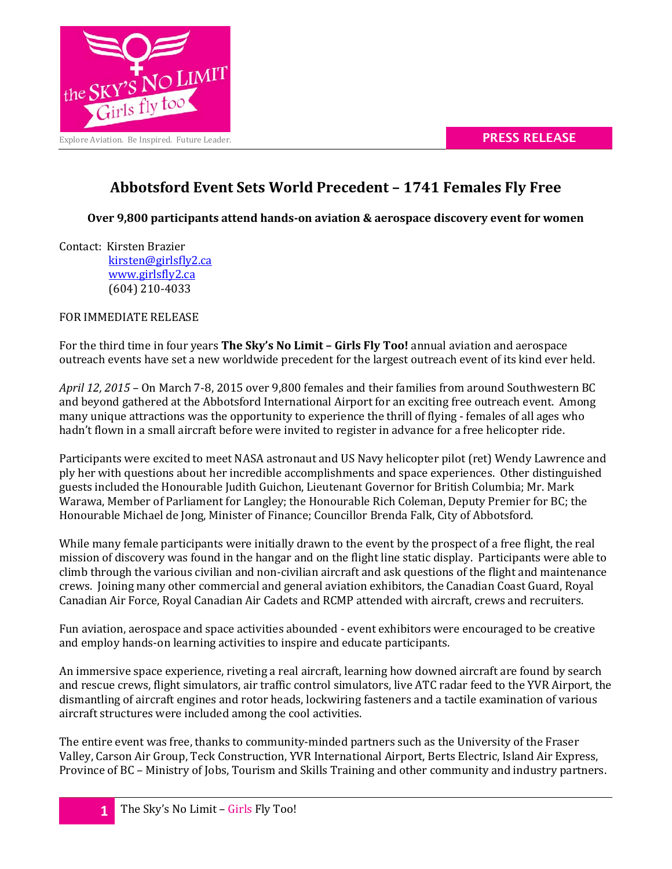



## **Abbotsford Event Sets World Precedent – 1741 Females Fly Free**

**Over 9,800 participants attend hands-on aviation & aerospace discovery event for women**

Contact: Kirsten Brazier

[kirsten@girlsfly2.ca](mailto:kirsten@girlsfly2.ca) [www.girlsfly2.ca](http://www.girlsfly2.ca/) (604) 210-4033

FOR IMMEDIATE RELEASE

For the third time in four years **The Sky's No Limit – Girls Fly Too!** annual aviation and aerospace outreach events have set a new worldwide precedent for the largest outreach event of its kind ever held.

*April 12, 2015* – On March 7-8, 2015 over 9,800 females and their families from around Southwestern BC and beyond gathered at the Abbotsford International Airport for an exciting free outreach event. Among many unique attractions was the opportunity to experience the thrill of flying - females of all ages who hadn't flown in a small aircraft before were invited to register in advance for a free helicopter ride.

Participants were excited to meet NASA astronaut and US Navy helicopter pilot (ret) Wendy Lawrence and ply her with questions about her incredible accomplishments and space experiences. Other distinguished guests included the Honourable Judith Guichon, Lieutenant Governor for British Columbia; Mr. Mark Warawa, Member of Parliament for Langley; the Honourable Rich Coleman, Deputy Premier for BC; the Honourable Michael de Jong, Minister of Finance; Councillor Brenda Falk, City of Abbotsford.

While many female participants were initially drawn to the event by the prospect of a free flight, the real mission of discovery was found in the hangar and on the flight line static display. Participants were able to climb through the various civilian and non-civilian aircraft and ask questions of the flight and maintenance crews. Joining many other commercial and general aviation exhibitors, the Canadian Coast Guard, Royal Canadian Air Force, Royal Canadian Air Cadets and RCMP attended with aircraft, crews and recruiters.

Fun aviation, aerospace and space activities abounded - event exhibitors were encouraged to be creative and employ hands-on learning activities to inspire and educate participants.

An immersive space experience, riveting a real aircraft, learning how downed aircraft are found by search and rescue crews, flight simulators, air traffic control simulators, live ATC radar feed to the YVR Airport, the dismantling of aircraft engines and rotor heads, lockwiring fasteners and a tactile examination of various aircraft structures were included among the cool activities.

The entire event was free, thanks to community-minded partners such as the University of the Fraser Valley, Carson Air Group, Teck Construction, YVR International Airport, Berts Electric, Island Air Express, Province of BC – Ministry of Jobs, Tourism and Skills Training and other community and industry partners.